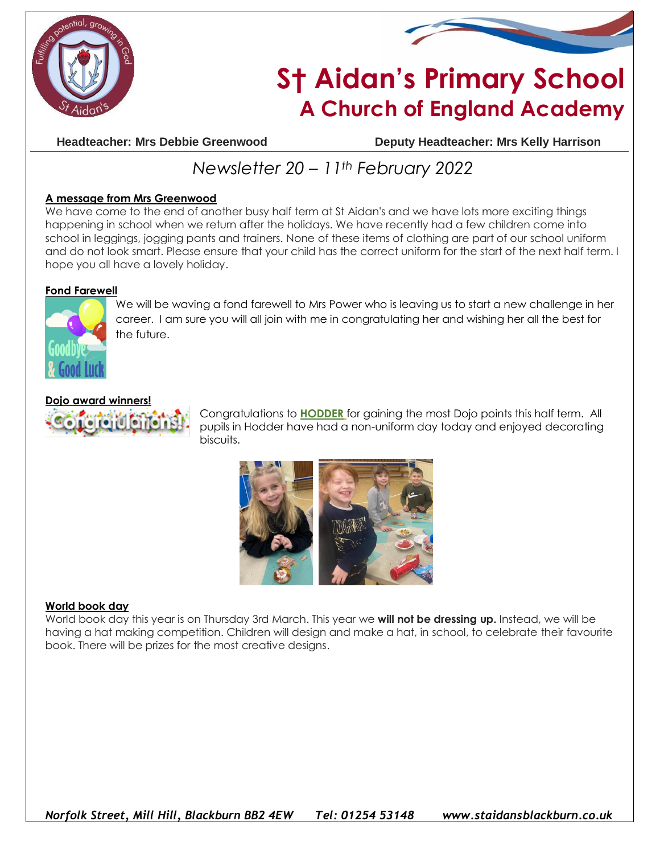



# **S† Aidan's Primary School A Church of England Academy**

**Headteacher: Mrs Debbie Greenwood Deputy Headteacher: Mrs Kelly Harrison**

## *Newsletter 20 – 11th February 2022*

### **A message from Mrs Greenwood**

We have come to the end of another busy half term at St Aidan's and we have lots more exciting things happening in school when we return after the holidays. We have recently had a few children come into school in leggings, jogging pants and trainers. None of these items of clothing are part of our school uniform and do not look smart. Please ensure that your child has the correct uniform for the start of the next half term. I hope you all have a lovely holiday.

### **Fond Farewell**



We will be waving a fond farewell to Mrs Power who is leaving us to start a new challenge in her career. I am sure you will all join with me in congratulating her and wishing her all the best for the future.

### **Dojo award winners!**



Congratulations to **HODDER** for gaining the most Dojo points this half term. All pupils in Hodder have had a non-uniform day today and enjoyed decorating biscuits.



### **World book day**

World book day this year is on Thursday 3rd March. This year we **will not be dressing up.** Instead, we will be having a hat making competition. Children will design and make a hat, in school, to celebrate their favourite book. There will be prizes for the most creative designs.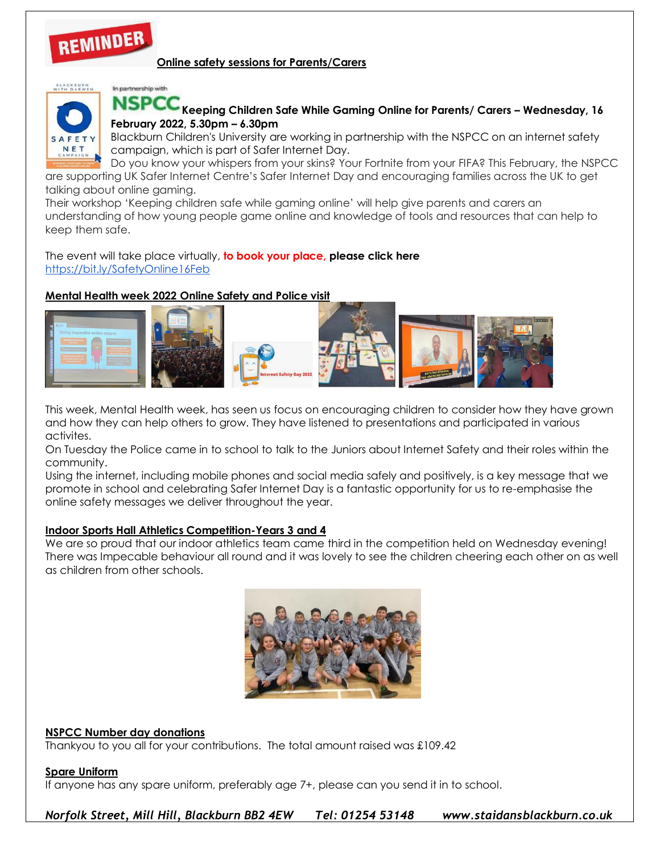# REMINDER

### **Online safety sessions for Parents/Carers**



### In partnership with

**Keeping Children Safe While Gaming Online for Parents/ Carers – Wednesday, 16 February 2022, 5.30pm – 6.30pm**

Blackburn Children's University are working in partnership with the NSPCC on an internet safety campaign, which is part of Safer Internet Day.

Do you know your whispers from your skins? Your Fortnite from your FIFA? This February, the NSPCC are supporting UK Safer Internet Centre's Safer Internet Day and encouraging families across the UK to get talking about online gaming.

Their workshop 'Keeping children safe while gaming online' will help give parents and carers an understanding of how young people game online and knowledge of tools and resources that can help to keep them safe.

The event will take place virtually, **to book your place, please click here** <https://bit.ly/SafetyOnline16Feb>

### **Mental Health week 2022 Online Safety and Police visit**



This week, Mental Health week, has seen us focus on encouraging children to consider how they have grown and how they can help others to grow. They have listened to presentations and participated in various activites.

On Tuesday the Police came in to school to talk to the Juniors about Internet Safety and their roles within the community.

Using the internet, including mobile phones and social media safely and positively, is a key message that we promote in school and celebrating Safer Internet Day is a fantastic opportunity for us to re-emphasise the online safety messages we deliver throughout the year.

### **Indoor Sports Hall Athletics Competition-Years 3 and 4**

We are so proud that our indoor athletics team came third in the competition held on Wednesday evening! There was Impecable behaviour all round and it was lovely to see the children cheering each other on as well as children from other schools.



### **NSPCC Number day donations**

Thankyou to you all for your contributions. The total amount raised was £109.42

### **Spare Uniform**

If anyone has any spare uniform, preferably age 7+, please can you send it in to school.

*Norfolk Street, Mill Hill, Blackburn BB2 4EW Tel: 01254 53148 www.staidansblackburn.co.uk*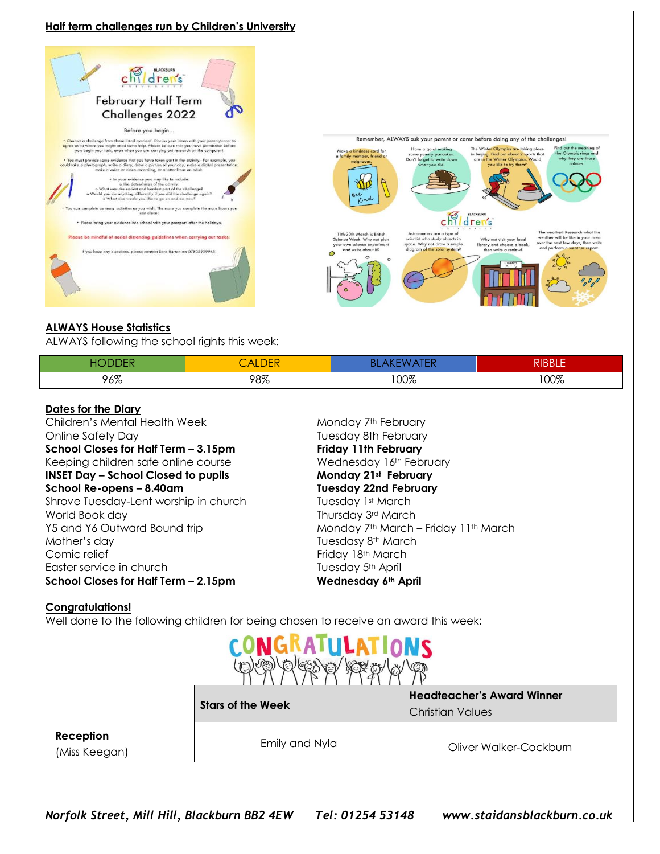### **Half term challenges run by Children's University**





### **ALWAYS House Statistics**

ALWAYS following the school rights this week:

| нc<br>н | <b>ALDEN</b> | ۱ ۱ ۱ | RIBBLE |
|---------|--------------|-------|--------|
| 96%     | 98%          | 00%   | 100%   |

#### **Dates for the Diary**

Children's Mental Health Week Monday 7th February Online Safety Day Tuesday 8th February **School Closes for Half Term – 3.15pm Friday 11th February** Keeping children safe online course **Wednesday 16th February INSET Day – School Closed to pupils Monday 21st February School Re-opens – 8.40am Tuesday 22nd February** Shrove Tuesday-Lent worship in church Tuesday 1st March World Book day **Thursday 3rd March** Mother's day **Mother's day** Tuesdasy 8<sup>th</sup> March Comic relief Friday 18th March Easter service in church Tuesday 5<sup>th</sup> April **School Closes for Half Term – 2.15pm Wednesday 6th April**

Y5 and Y6 Outward Bound trip Monday 7<sup>th</sup> March – Friday 11<sup>th</sup> March

### **Congratulations!**

Well done to the following children for being chosen to receive an award this week:



|                            | <b>Stars of the Week</b> | <b>Headteacher's Award Winner</b><br><b>Christian Values</b> |  |
|----------------------------|--------------------------|--------------------------------------------------------------|--|
| Reception<br>(Miss Keegan) | Emily and Nyla           | Oliver Walker-Cockburn                                       |  |

*Norfolk Street, Mill Hill, Blackburn BB2 4EW Tel: 01254 53148 www.staidansblackburn.co.uk*